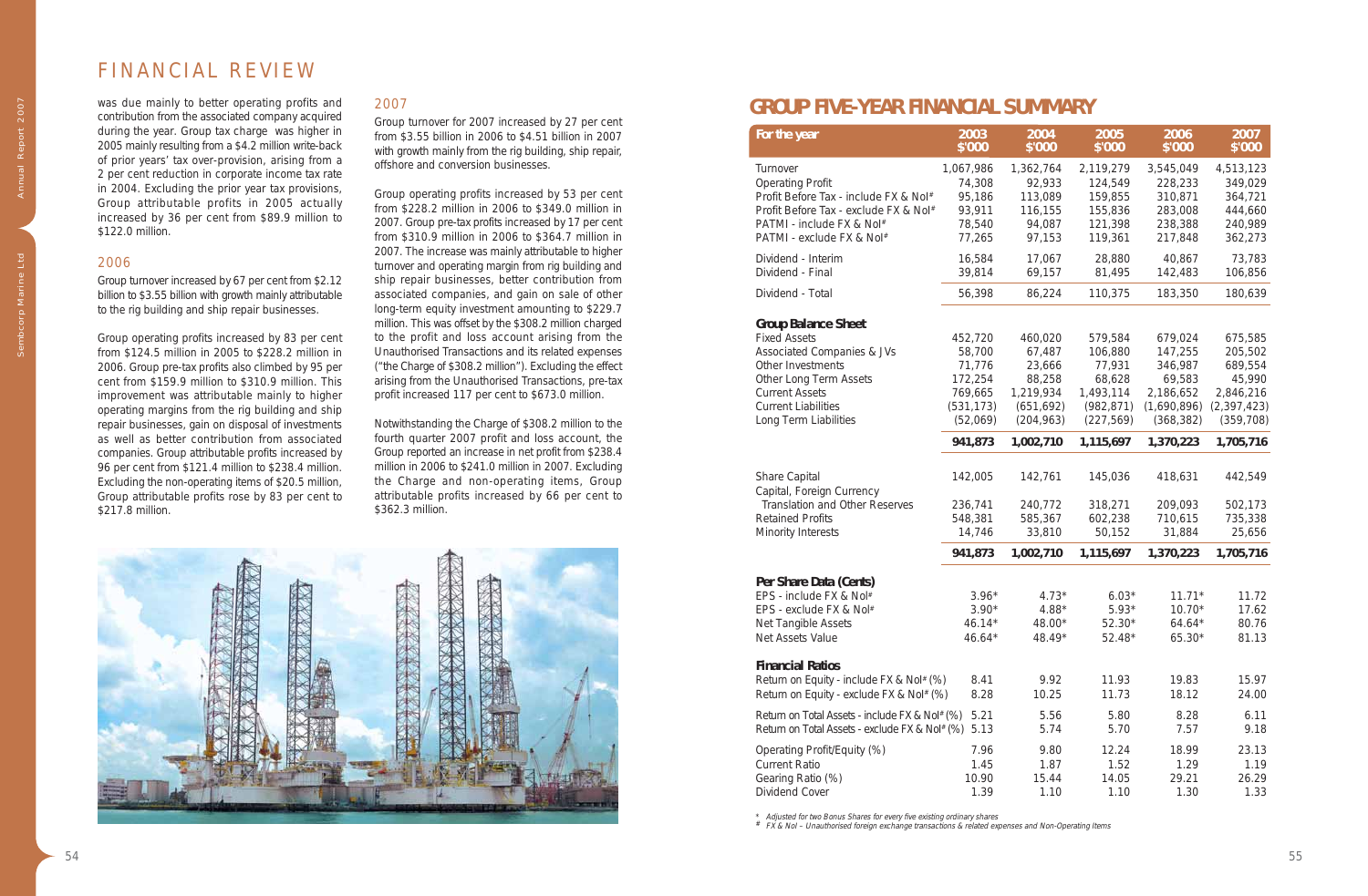# FINANCIAL REVIEW

was due mainly to better operating profits and contribution from the associated company acquired during the year. Group tax charge was higher in 2005 mainly resulting from a \$4.2 million write-back of prior years' tax over-provision, arising from a 2 per cent reduction in corporate income tax rate in 2004. Excluding the prior year tax provisions, Group attributable profits in 2005 actually increased by 36 per cent from \$89.9 million to \$122.0 million.

### 2006

Group turnover increased by 67 per cent from \$2.12 billion to \$3.55 billion with growth mainly attributable to the rig building and ship repair businesses.

Group operating profits increased by 83 per cent from \$124.5 million in 2005 to \$228.2 million in 2006. Group pre-tax profits also climbed by 95 per cent from \$159.9 million to \$310.9 million. This improvement was attributable mainly to higher operating margins from the rig building and ship repair businesses, gain on disposal of investments as well as better contribution from associated companies. Group attributable profits increased by 96 per cent from \$121.4 million to \$238.4 million. Excluding the non-operating items of \$20.5 million, Group attributable profits rose by 83 per cent to \$217.8 million.

## 2007

Group turnover for 2007 increased by 27 per cent from \$3.55 billion in 2006 to \$4.51 billion in 2007 with growth mainly from the rig building, ship repair, offshore and conversion businesses.

Group operating profits increased by 53 per cent from \$228.2 million in 2006 to \$349.0 million in 2007. Group pre-tax profits increased by 17 per cent from \$310.9 million in 2006 to \$364.7 million in 2007. The increase was mainly attributable to higher turnover and operating margin from rig building and ship repair businesses, better contribution from associated companies, and gain on sale of other long-term equity investment amounting to \$229.7 million. This was offset by the \$308.2 million charged to the profit and loss account arising from the Unauthorised Transactions and its related expenses ("the Charge of \$308.2 million"). Excluding the effect arising from the Unauthorised Transactions, pre-tax profit increased 117 per cent to \$673.0 million.

Notwithstanding the Charge of \$308.2 million to the fourth quarter 2007 profit and loss account, the Group reported an increase in net profit from \$238.4 million in 2006 to \$241.0 million in 2007. Excluding the Charge and non-operating items, Group attributable profits increased by 66 per cent to \$362.3 million.



| For the year                                                                                                                                                                                                   | 2003<br>\$'000                                                              | 2004<br>\$'000                                                                 | 2005<br>\$'000                                                                  | 2006<br>\$'000                                                                    | 2007<br>\$'000                                                                      |
|----------------------------------------------------------------------------------------------------------------------------------------------------------------------------------------------------------------|-----------------------------------------------------------------------------|--------------------------------------------------------------------------------|---------------------------------------------------------------------------------|-----------------------------------------------------------------------------------|-------------------------------------------------------------------------------------|
| Turnover<br><b>Operating Profit</b><br>Profit Before Tax - include FX & Nol#<br>Profit Before Tax - exclude FX & Nol#<br>PATMI - include FX & Nol#                                                             | 1,067,986<br>74,308<br>95,186<br>93,911<br>78,540                           | 1,362,764<br>92,933<br>113,089<br>116,155<br>94,087                            | 2,119,279<br>124,549<br>159,855<br>155,836<br>121,398                           | 3,545,049<br>228,233<br>310,871<br>283,008<br>238,388                             | 4,513,123<br>349,029<br>364,721<br>444,660<br>240,989                               |
| PATMI - exclude FX & Nol#<br>Dividend - Interim<br>Dividend - Final                                                                                                                                            | 77,265<br>16,584<br>39,814                                                  | 97,153<br>17,067<br>69,157                                                     | 119,361<br>28,880<br>81,495                                                     | 217,848<br>40,867<br>142,483                                                      | 362,273<br>73,783<br>106,856                                                        |
| Dividend - Total                                                                                                                                                                                               | 56,398                                                                      | 86,224                                                                         | 110,375                                                                         | 183,350                                                                           | 180,639                                                                             |
| <b>Group Balance Sheet</b><br><b>Fixed Assets</b><br>Associated Companies & JVs<br>Other Investments<br>Other Long Term Assets<br><b>Current Assets</b><br><b>Current Liabilities</b><br>Long Term Liabilities | 452,720<br>58,700<br>71,776<br>172,254<br>769,665<br>(531, 173)<br>(52,069) | 460,020<br>67,487<br>23,666<br>88,258<br>1,219,934<br>(651, 692)<br>(204, 963) | 579,584<br>106,880<br>77,931<br>68,628<br>1,493,114<br>(982, 871)<br>(227, 569) | 679,024<br>147,255<br>346,987<br>69,583<br>2,186,652<br>(1,690,896)<br>(368, 382) | 675,585<br>205,502<br>689,554<br>45,990<br>2,846,216<br>(2, 397, 423)<br>(359, 708) |
|                                                                                                                                                                                                                | 941,873                                                                     | 1,002,710                                                                      | 1,115,697                                                                       | 1,370,223                                                                         | 1,705,716                                                                           |
| Share Capital<br>Capital, Foreign Currency<br>Translation and Other Reserves<br><b>Retained Profits</b><br>Minority Interests                                                                                  | 142,005<br>236,741<br>548,381<br>14,746                                     | 142,761<br>240,772<br>585,367<br>33,810                                        | 145,036<br>318,271<br>602,238<br>50,152                                         | 418,631<br>209,093<br>710,615<br>31,884                                           | 442,549<br>502,173<br>735,338<br>25,656                                             |
|                                                                                                                                                                                                                | 941,873                                                                     | 1,002,710                                                                      | 1,115,697                                                                       | 1,370,223                                                                         | 1,705,716                                                                           |
| Per Share Data (Cents)<br>EPS - include FX & Nol#<br>EPS - exclude FX & Nol#<br>Net Tangible Assets<br>Net Assets Value                                                                                        | $3.96*$<br>$3.90*$<br>$46.14*$<br>46.64*                                    | $4.73*$<br>4.88*<br>48.00*<br>48.49*                                           | $6.03*$<br>$5.93*$<br>$52.30*$<br>52.48*                                        | $11.71*$<br>$10.70*$<br>$64.64*$<br>$65.30*$                                      | 11.72<br>17.62<br>80.76<br>81.13                                                    |
| <b>Financial Ratios</b><br>Return on Equity - include FX & Nol# (%)<br>Return on Equity - exclude FX & Nol# (%)                                                                                                | 8.41<br>8.28                                                                | 9.92<br>10.25                                                                  | 11.93<br>11.73                                                                  | 19.83<br>18.12                                                                    | 15.97<br>24.00                                                                      |
| Return on Total Assets - include FX & Nol# (%)<br>Return on Total Assets - exclude FX & Nol# (%)                                                                                                               | 5.21<br>5.13                                                                | 5.56<br>5.74                                                                   | 5.80<br>5.70                                                                    | 8.28<br>7.57                                                                      | 6.11<br>9.18                                                                        |
| Operating Profit/Equity (%)<br><b>Current Ratio</b><br>Gearing Ratio (%)<br>Dividend Cover                                                                                                                     | 7.96<br>1.45<br>10.90<br>1.39                                               | 9.80<br>1.87<br>15.44<br>1.10                                                  | 12.24<br>1.52<br>14.05<br>1.10                                                  | 18.99<br>1.29<br>29.21<br>1.30                                                    | 23.13<br>1.19<br>26.29<br>1.33                                                      |

\* Adjusted for two Bonus Shares for every five existing ordinary shares # FX & NoI – Unauthorised foreign exchange transactions & related expenses and Non-Operating Items

## **GROUP FIVE-YEAR FINANCIAL SUMMARY**